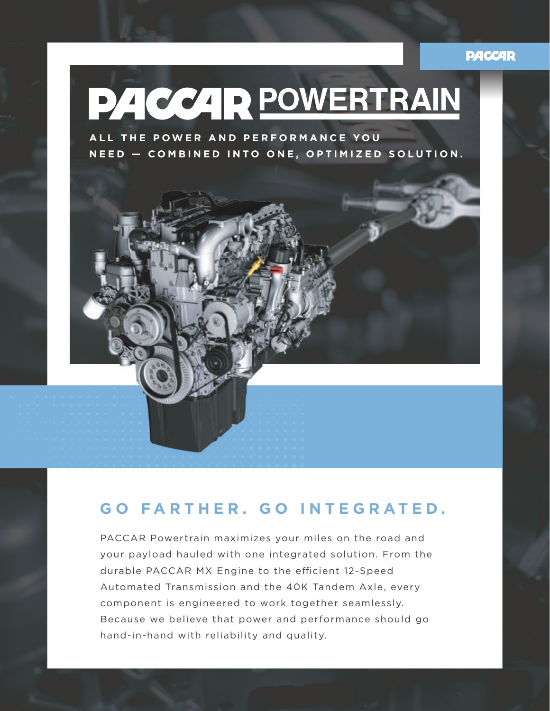## **PACCAR**



# **GO FARTHER. GO INTEGRATED.**

PACCAR Powertrain maximizes your miles on the road and your payload hauled with one integrated solution. From the durable PACCAR MX Engine to the efficient 12-Speed Automated Transmission and the 40K Tandem Axle, every component is engineered to work together seamlessly. Because we believe that power and performance should go hand-in-hand with reliability and quality.